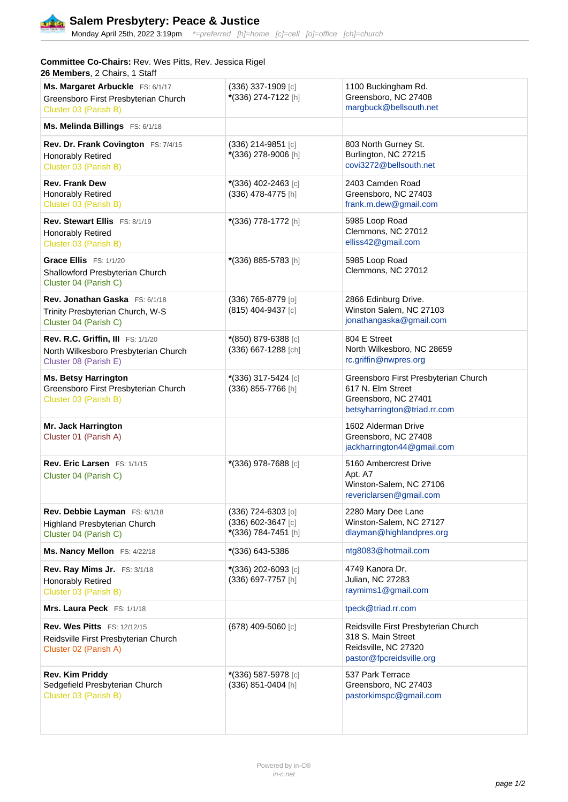

Monday April 25th, 2022 3:19pm \*=preferred [h]=home [c]=cell [o]=office [ch]=church

## **Committee Co-Chairs:** Rev. Wes Pitts, Rev. Jessica Rigel **26 Members**, 2 Chairs, 1 Staff

| Ms. Margaret Arbuckle FS: 6/1/17<br>Greensboro First Presbyterian Church<br>Cluster 03 (Parish B)  | (336) 337-1909 [c]<br>*(336) 274-7122 [h]                       | 1100 Buckingham Rd.<br>Greensboro, NC 27408<br>margbuck@bellsouth.net                                             |
|----------------------------------------------------------------------------------------------------|-----------------------------------------------------------------|-------------------------------------------------------------------------------------------------------------------|
| Ms. Melinda Billings FS: 6/1/18                                                                    |                                                                 |                                                                                                                   |
| Rev. Dr. Frank Covington FS: 7/4/15<br><b>Honorably Retired</b><br>Cluster 03 (Parish B)           | $(336)$ 214-9851 [c]<br>*(336) 278-9006 [h]                     | 803 North Gurney St.<br>Burlington, NC 27215<br>covi3272@bellsouth.net                                            |
| <b>Rev. Frank Dew</b><br><b>Honorably Retired</b><br>Cluster 03 (Parish B)                         | *(336) 402-2463 [c]<br>(336) 478-4775 [h]                       | 2403 Camden Road<br>Greensboro, NC 27403<br>frank.m.dew@gmail.com                                                 |
| Rev. Stewart Ellis FS: 8/1/19<br><b>Honorably Retired</b><br>Cluster 03 (Parish B)                 | *(336) 778-1772 [h]                                             | 5985 Loop Road<br>Clemmons, NC 27012<br>elliss42@gmail.com                                                        |
| Grace Ellis FS: 1/1/20<br>Shallowford Presbyterian Church<br>Cluster 04 (Parish C)                 | *(336) 885-5783 [h]                                             | 5985 Loop Road<br>Clemmons, NC 27012                                                                              |
| Rev. Jonathan Gaska FS: 6/1/18<br>Trinity Presbyterian Church, W-S<br>Cluster 04 (Parish C)        | (336) 765-8779 [0]<br>(815) 404-9437 [c]                        | 2866 Edinburg Drive.<br>Winston Salem, NC 27103<br>jonathangaska@gmail.com                                        |
| Rev. R.C. Griffin, III FS: 1/1/20<br>North Wilkesboro Presbyterian Church<br>Cluster 08 (Parish E) | *(850) 879-6388 [c]<br>(336) 667-1288 [ch]                      | 804 E Street<br>North Wilkesboro, NC 28659<br>rc.griffin@nwpres.org                                               |
| <b>Ms. Betsy Harrington</b><br>Greensboro First Presbyterian Church<br>Cluster 03 (Parish B)       | *(336) 317-5424 [c]<br>(336) 855-7766 [h]                       | Greensboro First Presbyterian Church<br>617 N. Elm Street<br>Greensboro, NC 27401<br>betsyharrington@triad.rr.com |
| Mr. Jack Harrington<br>Cluster 01 (Parish A)                                                       |                                                                 | 1602 Alderman Drive<br>Greensboro, NC 27408<br>jackharrington44@gmail.com                                         |
| Rev. Eric Larsen FS: 1/1/15<br>Cluster 04 (Parish C)                                               | *(336) 978-7688 [c]                                             | 5160 Ambercrest Drive<br>Apt. A7<br>Winston-Salem, NC 27106<br>revericlarsen@gmail.com                            |
| Rev. Debbie Layman FS: 6/1/18<br><b>Highland Presbyterian Church</b><br>Cluster 04 (Parish C)      | (336) 724-6303 [0]<br>(336) 602-3647 [c]<br>*(336) 784-7451 [h] | 2280 Mary Dee Lane<br>Winston-Salem, NC 27127<br>dlayman@highlandpres.org                                         |
| Ms. Nancy Mellon FS: 4/22/18                                                                       | *(336) 643-5386                                                 | ntg8083@hotmail.com                                                                                               |
| Rev. Ray Mims Jr. FS: 3/1/18<br>Honorably Retired<br>Cluster 03 (Parish B)                         | *(336) 202-6093 [c]<br>(336) 697-7757 [h]                       | 4749 Kanora Dr.<br><b>Julian, NC 27283</b><br>raymims1@gmail.com                                                  |
| Mrs. Laura Peck FS: 1/1/18                                                                         |                                                                 | tpeck@triad.rr.com                                                                                                |
| Rev. Wes Pitts FS: 12/12/15<br>Reidsville First Presbyterian Church<br>Cluster 02 (Parish A)       | (678) 409-5060 [c]                                              | Reidsville First Presbyterian Church<br>318 S. Main Street<br>Reidsville, NC 27320<br>pastor@fpcreidsville.org    |
| Rev. Kim Priddy<br>Sedgefield Presbyterian Church<br>Cluster 03 (Parish B)                         | *(336) 587-5978 [c]<br>(336) 851-0404 [h]                       | 537 Park Terrace<br>Greensboro, NC 27403<br>pastorkimspc@gmail.com                                                |